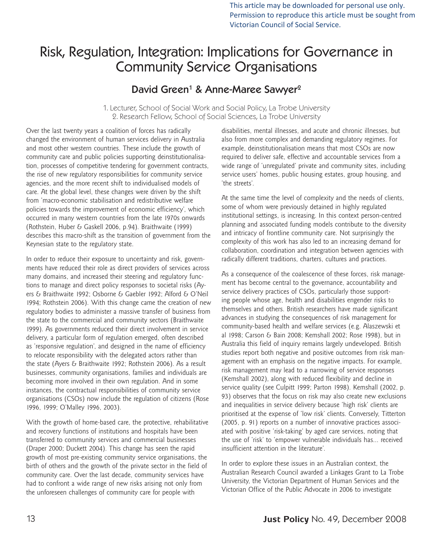This article may be downloaded for personal use only. Permission to reproduce this article must be sought from Victorian Council of Social Service.

# Risk, Regulation, Integration: Implications for Governance in Community Service Organisations

## David Green<sup>1</sup> & Anne-Maree Sawyer<sup>2</sup>

1. Lecturer, School of Social Work and Social Policy, La Trobe University 2. Research Fellow, School of Social Sciences, La Trobe University

Over the last twenty years a coalition of forces has radically changed the environment of human services delivery in Australia and most other western countries. These include the growth of community care and public policies supporting deinstitutionalisation, processes of competitive tendering for government contracts, the rise of new regulatory responsibilities for community service agencies, and the more recent shift to individualised models of care. At the global level, these changes were driven by the shift from 'macro-economic stabilisation and redistributive welfare policies towards the improvement of economic efficiency', which occurred in many western countries from the late 1970s onwards (Rothstein, Huber & Gaskell 2006, p.94). Braithwaite (1999) describes this macro-shift as the transition of government from the Keynesian state to the regulatory state.

In order to reduce their exposure to uncertainty and risk, governments have reduced their role as direct providers of services across many domains, and increased their steering and regulatory functions to manage and direct policy responses to societal risks (Ayers & Braithwaite 1992; Osborne & Gaebler 1992; Alford & O'Neil 1994; Rothstein 2006). With this change came the creation of new regulatory bodies to administer a massive transfer of business from the state to the commercial and community sectors (Braithwaite 1999). As governments reduced their direct involvement in service delivery, a particular form of regulation emerged, often described as 'responsive regulation', and designed in the name of efficiency to relocate responsibility with the delegated actors rather than the state (Ayers & Braithwaite 1992; Rothstein 2006). As a result businesses, community organisations, families and individuals are becoming more involved in their own regulation. And in some instances, the contractual responsibilities of community service organisations (CSOs) now include the regulation of citizens (Rose 1996, 1999; O'Malley 1996, 2003).

With the growth of home-based care, the protective, rehabilitative and recovery functions of institutions and hospitals have been transferred to community services and commercial businesses (Draper 2000; Duckett 2004). This change has seen the rapid growth of most pre-existing community service organisations, the birth of others and the growth of the private sector in the field of community care. Over the last decade, community services have had to confront a wide range of new risks arising not only from the unforeseen challenges of community care for people with

disabilities, mental illnesses, and acute and chronic illnesses, but also from more complex and demanding regulatory regimes. For example, deinstitutionalisation means that most CSOs are now required to deliver safe, effective and accountable services from a wide range of 'unregulated' private and community sites, including service users' homes, public housing estates, group housing, and 'the streets'.

At the same time the level of complexity and the needs of clients, some of whom were previously detained in highly regulated institutional settings, is increasing. In this context person-centred planning and associated funding models contribute to the diversity and intricacy of frontline community care. Not surprisingly the complexity of this work has also led to an increasing demand for collaboration, coordination and integration between agencies with radically different traditions, charters, cultures and practices.

As a consequence of the coalescence of these forces, risk management has become central to the governance, accountability and service delivery practices of CSOs, particularly those supporting people whose age, health and disabilities engender risks to themselves and others. British researchers have made significant advances in studying the consequences of risk management for community-based health and welfare services (e.g. Alaszewski et al 1998; Carson & Bain 2008; Kemshall 2002; Rose 1998), but in Australia this field of inquiry remains largely undeveloped. British studies report both negative and positive outcomes from risk management with an emphasis on the negative impacts. For example, risk management may lead to a narrowing of service responses (Kemshall 2002), along with reduced flexibility and decline in service quality (see Culpitt 1999; Parton 1998). Kemshall (2002, p. 93) observes that the focus on risk may also create new exclusions and inequalities in service delivery because 'high risk' clients are prioritised at the expense of 'low risk' clients. Conversely, Titterton (2005, p. 91) reports on a number of innovative practices associated with positive 'risk-taking' by aged care services, noting that the use of 'risk' to 'empower vulnerable individuals has… received insufficient attention in the literature'.

In order to explore these issues in an Australian context, the Australian Research Council awarded a Linkages Grant to La Trobe University, the Victorian Department of Human Services and the Victorian Office of the Public Advocate in 2006 to investigate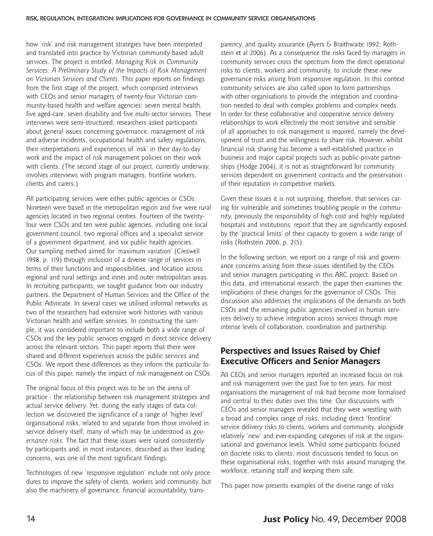how 'risk' and risk management strategies have been interpreted and translated into practice by Victorian community-based adult services. The project is entitled, *Managing Risk in Community Services: A Preliminary Study of the Impacts of Risk Management on Victorian Services and Clients.* This paper reports on findings from the first stage of the project, which comprised interviews with CEOs and senior managers of twenty-four Victorian community-based health and welfare agencies: seven mental health, five aged-care, seven disability and five multi-sector services. These interviews were semi-structured; researchers asked participants about general issues concerning governance, management of risk and adverse incidents, occupational health and safety regulations, their interpretations and experiences of 'risk' in their day-to-day work and the impact of risk management policies on their work with clients. (The second stage of our project, currently underway, involves interviews with program managers, frontline workers, clients and carers.)

All participating services were either public agencies or CSOs. Nineteen were based in the metropolitan region and five were rural agencies located in two regional centres. Fourteen of the twentyfour were CSOs and ten were public agencies, including one local government council, two regional offices and a specialist service of a government department, and six public health agencies. Our sampling method aimed for 'maximum variation' (Creswell 1998, p. 119) through inclusion of a diverse range of services in terms of their functions and responsibilities, and location across regional and rural settings and inner and outer metropolitan areas. In recruiting participants, we sought guidance from our industry partners, the Department of Human Services and the Office of the Public Advocate. In several cases we utilised informal networks as two of the researchers had extensive work histories with various Victorian health and welfare services. In constructing the sample, it was considered important to include both a wide range of CSOs and the key public services engaged in direct service delivery across the relevant sectors. This paper reports that there were shared and different experiences across the public services and CSOs. We report these differences as they inform the particular focus of this paper, namely the impact of risk management on CSOs.

The original focus of this project was to be on the arena of practice - the relationship between risk management strategies and actual service delivery. Yet, during the early stages of data collection we discovered the significance of a range of 'higher level' organisational risks, related to and separate from those involved in service delivery itself, many of which may be understood as *governance risks*. The fact that these issues were raised consistently by participants and, in most instances, described as their leading concerns, was one of the most significant findings.

Technologies of new 'responsive regulation' include not only procedures to improve the safety of clients, workers and community, but also the machinery of governance, financial accountability, transparency, and quality assurance (Ayers & Braithwaite 1992; Rothstein et al 2006). As a consequence the risks faced by managers in community services cross the spectrum from the direct operational risks to clients, workers and community, to include these new governance risks arising from responsive regulation. In this context community services are also called upon to form partnerships with other organisations to provide the integration and coordination needed to deal with complex problems and complex needs. In order for these collaborative and cooperative service delivery relationships to work effectively the most sensitive and sensible of all approaches to risk management is required, namely the development of trust and the willingness to share risk. However, whilst financial risk sharing has become a well-established practice in business and major capital projects such as public-private partnerships (Hodge 2004), it is not as straightforward for community services dependent on government contracts and the preservation of their reputation in competitive markets.

Given these issues it is not surprising, therefore, that services caring for vulnerable and sometimes troubling people in the community, previously the responsibility of high cost and highly regulated hospitals and institutions, report that they are significantly exposed by the 'practical limits' of their capacity to govern a wide range of risks (Rothstein 2006, p. 215).

In the following section, we report on a range of risk and governance concerns arising from these issues identified by the CEOs and senior managers participating in this ARC project. Based on this data, and international research, the paper then examines the implications of these changes for the governance of CSOs. This discussion also addresses the implications of the demands on both CSOs and the remaining public agencies involved in human services delivery to achieve integration across services through more intense levels of collaboration, coordination and partnership.

#### **Perspectives and Issues Raised by Chief Executive Officers and Senior Managers**

All CEOs and senior managers reported an increased focus on risk and risk management over the past five to ten years. For most organisations the management of risk had become more formalised and central to their duties over this time. Our discussions with CEOs and senior managers revealed that they were wrestling with a broad and complex range of risks, including direct 'frontline' service delivery risks to clients, workers and community, alongside relatively 'new' and ever-expanding categories of risk at the organisational and governance levels. Whilst some participants focused on discrete risks to clients, most discussions tended to focus on these organisational risks, together with risks around managing the workforce, retaining staff and keeping them safe.

This paper now presents examples of the diverse range of risks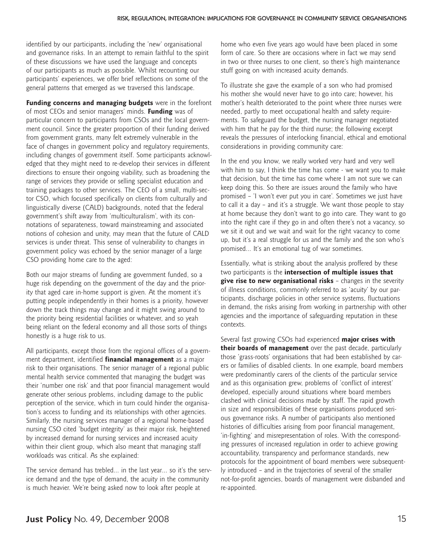identified by our participants, including the 'new' organisational and governance risks. In an attempt to remain faithful to the spirit of these discussions we have used the language and concepts of our participants as much as possible. Whilst recounting our participants' experiences, we offer brief reflections on some of the general patterns that emerged as we traversed this landscape.

**Funding concerns and managing budgets** were in the forefront of most CEOs and senior managers' minds. **Funding** was of particular concern to participants from CSOs and the local government council. Since the greater proportion of their funding derived from government grants, many felt extremely vulnerable in the face of changes in government policy and regulatory requirements, including changes of government itself. Some participants acknowledged that they might need to re-develop their services in different directions to ensure their ongoing viability, such as broadening the range of services they provide or selling specialist education and training packages to other services. The CEO of a small, multi-sector CSO, which focused specifically on clients from culturally and linguistically diverse (CALD) backgrounds, noted that the federal government's shift away from 'multiculturalism', with its connotations of separateness, toward mainstreaming and associated notions of cohesion and unity, may mean that the future of CALD services is under threat. This sense of vulnerability to changes in government policy was echoed by the senior manager of a large CSO providing home care to the aged:

Both our major streams of funding are government funded, so a huge risk depending on the government of the day and the priority that aged care in-home support is given. At the moment it's putting people independently in their homes is a priority, however down the track things may change and it might swing around to the priority being residential facilities or whatever, and so yeah being reliant on the federal economy and all those sorts of things honestly is a huge risk to us.

All participants, except those from the regional offices of a government department, identified **financial management** as a major risk to their organisations. The senior manager of a regional public mental health service commented that managing the budget was their 'number one risk' and that poor financial management would generate other serious problems, including damage to the public perception of the service, which in turn could hinder the organisation's access to funding and its relationships with other agencies. Similarly, the nursing services manager of a regional home-based nursing CSO cited 'budget integrity' as their major risk, heightened by increased demand for nursing services and increased acuity within their client group, which also meant that managing staff workloads was critical. As she explained:

The service demand has trebled… in the last year… so it's the service demand and the type of demand, the acuity in the community is much heavier. We're being asked now to look after people at

home who even five years ago would have been placed in some form of care. So there are occasions where in fact we may send in two or three nurses to one client, so there's high maintenance stuff going on with increased acuity demands.

To illustrate she gave the example of a son who had promised his mother she would never have to go into care; however, his mother's health deteriorated to the point where three nurses were needed, partly to meet occupational health and safety requirements. To safeguard the budget, the nursing manager negotiated with him that he pay for the third nurse; the following excerpt reveals the pressures of interlocking financial, ethical and emotional considerations in providing community care:

In the end you know, we really worked very hard and very well with him to say, I think the time has come - we want you to make that decision, but the time has come where I am not sure we can keep doing this. So there are issues around the family who have promised – 'I won't ever put you in care'. Sometimes we just have to call it a day – and it's a struggle. We want those people to stay at home because they don't want to go into care. They want to go into the right care if they go in and often there's not a vacancy, so we sit it out and we wait and wait for the right vacancy to come up, but it's a real struggle for us and the family and the son who's promised… It's an emotional tug of war sometimes.

Essentially, what is striking about the analysis proffered by these two participants is the **intersection of multiple issues that give rise to new organisational risks** – changes in the severity of illness conditions, commonly referred to as 'acuity' by our participants, discharge policies in other service systems, fluctuations in demand, the risks arising from working in partnership with other agencies and the importance of safeguarding reputation in these contexts.

Several fast growing CSOs had experienced **major crises with their boards of management** over the past decade, particularly those 'grass-roots' organisations that had been established by carers or families of disabled clients. In one example, board members were predominantly carers of the clients of the particular service and as this organisation grew, problems of 'conflict of interest' developed, especially around situations where board members clashed with clinical decisions made by staff. The rapid growth in size and responsibilities of these organisations produced serious governance risks. A number of participants also mentioned histories of difficulties arising from poor financial management, 'in-fighting' and misrepresentation of roles. With the corresponding pressures of increased regulation in order to achieve growing accountability, transparency and performance standards, new protocols for the appointment of board members were subsequently introduced – and in the trajectories of several of the smaller not-for-profit agencies, boards of management were disbanded and re-appointed.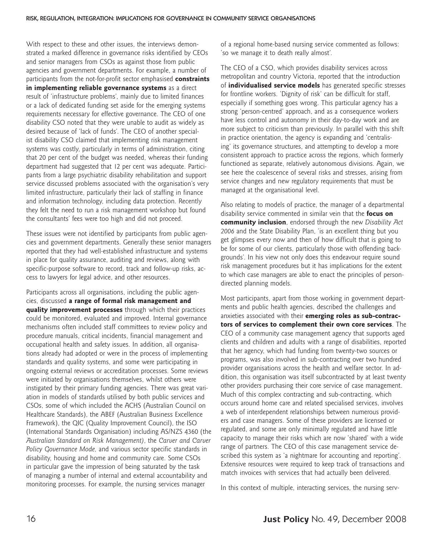With respect to these and other issues, the interviews demonstrated a marked difference in governance risks identified by CEOs and senior managers from CSOs as against those from public agencies and government departments. For example, a number of participants from the not-for-profit sector emphasised **constraints in implementing reliable governance systems** as a direct result of 'infrastructure problems', mainly due to limited finances or a lack of dedicated funding set aside for the emerging systems requirements necessary for effective governance. The CEO of one disability CSO noted that they were unable to audit as widely as desired because of 'lack of funds'. The CEO of another specialist disability CSO claimed that implementing risk management systems was costly, particularly in terms of administration, citing that 20 per cent of the budget was needed, whereas their funding department had suggested that 12 per cent was adequate. Participants from a large psychiatric disability rehabilitation and support service discussed problems associated with the organisation's very limited infrastructure, particularly their lack of staffing in finance and information technology, including data protection. Recently they felt the need to run a risk management workshop but found the consultants' fees were too high and did not proceed.

These issues were not identified by participants from public agencies and government departments. Generally these senior managers reported that they had well-established infrastructure and systems in place for quality assurance, auditing and reviews, along with specific-purpose software to record, track and follow-up risks, access to lawyers for legal advice, and other resources.

Participants across all organisations, including the public agencies, discussed **a range of formal risk management and quality improvement processes** through which their practices could be monitored, evaluated and improved. Internal governance mechanisms often included staff committees to review policy and procedure manuals, critical incidents, financial management and occupational health and safety issues. In addition, all organisations already had adopted or were in the process of implementing standards and quality systems, and some were participating in ongoing external reviews or accreditation processes. Some reviews were initiated by organisations themselves, whilst others were instigated by their primary funding agencies. There was great variation in models of standards utilised by both public services and CSOs, some of which included the ACHS (Australian Council on Healthcare Standards), the ABEF (Australian Business Excellence Framework), the QIC (Quality Improvement Council), the ISO (International Standards Organisation) including AS/NZS 4360 (the *Australian Standard on Risk Management)*, the *Carver and Carver Policy Governance Mode,* and various sector specific standards in disability, housing and home and community care. Some CSOs in particular gave the impression of being saturated by the task of managing a number of internal and external accountability and monitoring processes. For example, the nursing services manager

of a regional home-based nursing service commented as follows: 'so we manage it to death really almost'.

The CEO of a CSO, which provides disability services across metropolitan and country Victoria, reported that the introduction of **individualised service models** has generated specific stresses for frontline workers. 'Dignity of risk' can be difficult for staff, especially if something goes wrong. This particular agency has a strong 'person-centred' approach, and as a consequence workers have less control and autonomy in their day-to-day work and are more subject to criticism than previously. In parallel with this shift in practice orientation, the agency is expanding and 'centralising' its governance structures, and attempting to develop a more consistent approach to practice across the regions, which formerly functioned as separate, relatively autonomous divisions. Again, we see here the coalescence of several risks and stresses, arising from service changes and new regulatory requirements that must be managed at the organisational level.

Also relating to models of practice, the manager of a departmental disability service commented in similar vein that the **focus on community inclusion**, endorsed through the new *Disability Act 2006* and the State Disability Plan, 'is an excellent thing but you get glimpses every now and then of how difficult that is going to be for some of our clients, particularly those with offending backgrounds'. In his view not only does this endeavour require sound risk management procedures but it has implications for the extent to which case managers are able to enact the principles of persondirected planning models.

Most participants, apart from those working in government departments and public health agencies, described the challenges and anxieties associated with their **emerging roles as sub-contractors of services to complement their own core services**. The CEO of a community case management agency that supports aged clients and children and adults with a range of disabilities, reported that her agency, which had funding from twenty-two sources or programs, was also involved in sub-contracting over two hundred provider organisations across the health and welfare sector. In addition, this organisation was itself subcontracted by at least twenty other providers purchasing their core service of case management. Much of this complex contracting and sub-contracting, which occurs around home care and related specialised services, involves a web of interdependent relationships between numerous providers and case managers. Some of these providers are licensed or regulated, and some are only minimally regulated and have little capacity to manage their risks which are now 'shared' with a wide range of partners. The CEO of this case management service described this system as 'a nightmare for accounting and reporting'. Extensive resources were required to keep track of transactions and match invoices with services that had actually been delivered.

In this context of multiple, interacting services, the nursing serv-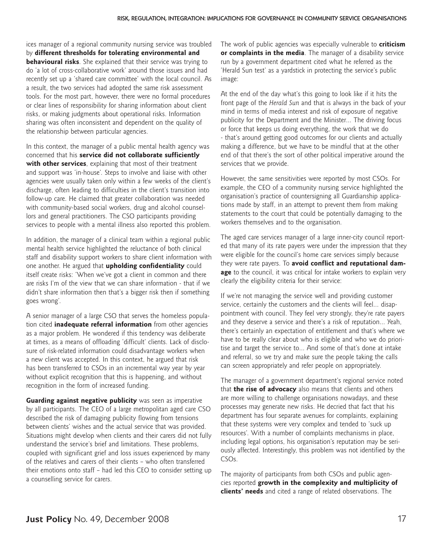ices manager of a regional community nursing service was troubled by **different thresholds for tolerating environmental and behavioural risks**. She explained that their service was trying to do 'a lot of cross-collaborative work' around those issues and had recently set up a 'shared care committee' with the local council. As a result, the two services had adopted the same risk assessment tools. For the most part, however, there were no formal procedures or clear lines of responsibility for sharing information about client risks, or making judgments about operational risks. Information sharing was often inconsistent and dependent on the quality of the relationship between particular agencies.

In this context, the manager of a public mental health agency was concerned that his **service did not collaborate sufficiently with other services**, explaining that most of their treatment and support was 'in-house'. Steps to involve and liaise with other agencies were usually taken only within a few weeks of the client's discharge, often leading to difficulties in the client's transition into follow-up care. He claimed that greater collaboration was needed with community-based social workers, drug and alcohol counsellors and general practitioners. The CSO participants providing services to people with a mental illness also reported this problem.

In addition, the manager of a clinical team within a regional public mental health service highlighted the reluctance of both clinical staff and disability support workers to share client information with one another. He argued that **upholding confidentiality** could itself create risks: 'When we've got a client in common and there are risks I'm of the view that we can share information - that if we didn't share information then that's a bigger risk then if something goes wrong'.

A senior manager of a large CSO that serves the homeless population cited **inadequate referral information** from other agencies as a major problem. He wondered if this tendency was deliberate at times, as a means of offloading 'difficult' clients. Lack of disclosure of risk-related information could disadvantage workers when a new client was accepted. In this context, he argued that risk has been transferred to CSOs in an incremental way year by year without explicit recognition that this is happening, and without recognition in the form of increased funding.

**Guarding against negative publicity** was seen as imperative by all participants. The CEO of a large metropolitan aged care CSO described the risk of damaging publicity flowing from tensions between clients' wishes and the actual service that was provided. Situations might develop when clients and their carers did not fully understand the service's brief and limitations. These problems, coupled with significant grief and loss issues experienced by many of the relatives and carers of their clients – who often transferred their emotions onto staff – had led this CEO to consider setting up a counselling service for carers.

The work of public agencies was especially vulnerable to **criticism or complaints in the media**. The manager of a disability service run by a government department cited what he referred as the 'Herald Sun test' as a yardstick in protecting the service's public image:

At the end of the day what's this going to look like if it hits the front page of the *Herald Sun* and that is always in the back of your mind in terms of media interest and risk of exposure of negative publicity for the Department and the Minister… The driving focus or force that keeps us doing everything, the work that we do - that's around getting good outcomes for our clients and actually making a difference, but we have to be mindful that at the other end of that there's the sort of other political imperative around the services that we provide.

However, the same sensitivities were reported by most CSOs. For example, the CEO of a community nursing service highlighted the organisation's practice of countersigning all Guardianship applications made by staff, in an attempt to prevent them from making statements to the court that could be potentially damaging to the workers themselves and to the organisation.

The aged care services manager of a large inner-city council reported that many of its rate payers were under the impression that they were eligible for the council's home care services simply because they were rate payers. To **avoid conflict and reputational damage** to the council, it was critical for intake workers to explain very clearly the eligibility criteria for their service:

If we're not managing the service well and providing customer service, certainly the customers and the clients will feel… disappointment with council. They feel very strongly, they're rate payers and they deserve a service and there's a risk of reputation… Yeah, there's certainly an expectation of entitlement and that's where we have to be really clear about who is eligible and who we do prioritise and target the service to… And some of that's done at intake and referral, so we try and make sure the people taking the calls can screen appropriately and refer people on appropriately.

The manager of a government department's regional service noted that **the rise of advocacy** also means that clients and others are more willing to challenge organisations nowadays, and these processes may generate new risks. He decried that fact that his department has four separate avenues for complaints, explaining that these systems were very complex and tended to 'suck up resources'. With a number of complaints mechanisms in place, including legal options, his organisation's reputation may be seriously affected. Interestingly, this problem was not identified by the CSOs.

The majority of participants from both CSOs and public agencies reported **growth in the complexity and multiplicity of clients' needs** and cited a range of related observations. The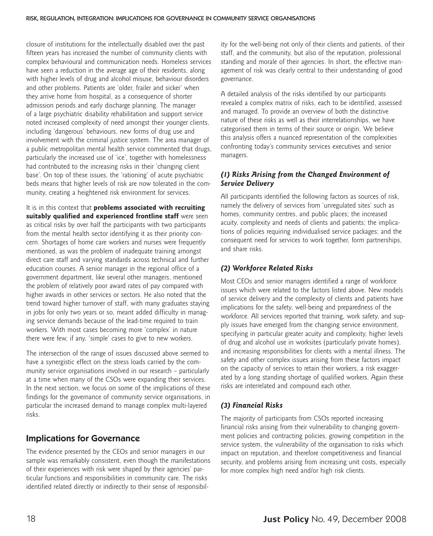closure of institutions for the intellectually disabled over the past fifteen years has increased the number of community clients with complex behavioural and communication needs. Homeless services have seen a reduction in the average age of their residents, along with higher levels of drug and alcohol misuse, behaviour disorders and other problems. Patients are 'older, frailer and sicker' when they arrive home from hospital, as a consequence of shorter admission periods and early discharge planning. The manager of a large psychiatric disability rehabilitation and support service noted increased complexity of need amongst their younger clients, including 'dangerous' behaviours, new forms of drug use and involvement with the criminal justice system. The area manager of a public metropolitan mental health service commented that drugs, particularly the increased use of 'ice', together with homelessness had contributed to the increasing risks in their 'changing client base'. On top of these issues, the 'rationing' of acute psychiatric beds means that higher levels of risk are now tolerated in the community, creating a heightened risk environment for services.

It is in this context that **problems associated with recruiting suitably qualified and experienced frontline staff** were seen as critical risks by over half the participants with two participants from the mental health sector identifying it as their priority concern. Shortages of home care workers and nurses were frequently mentioned, as was the problem of inadequate training amongst direct care staff and varying standards across technical and further education courses. A senior manager in the regional office of a government department, like several other managers, mentioned the problem of relatively poor award rates of pay compared with higher awards in other services or sectors. He also noted that the trend toward higher turnover of staff, with many graduates staying in jobs for only two years or so, meant added difficulty in managing service demands because of the lead-time required to train workers. With most cases becoming more 'complex' in nature there were few, if any, 'simple' cases to give to new workers.

The intersection of the range of issues discussed above seemed to have a synergistic effect on the stress loads carried by the community service organisations involved in our research – particularly at a time when many of the CSOs were expanding their services. In the next section, we focus on some of the implications of these findings for the governance of community service organisations, in particular the increased demand to manage complex multi-layered risks.

#### **Implications for Governance**

The evidence presented by the CEOs and senior managers in our sample was remarkably consistent, even though the manifestations of their experiences with risk were shaped by their agencies' particular functions and responsibilities in community care. The risks identified related directly or indirectly to their sense of responsibility for the well-being not only of their clients and patients, of their staff, and the community, but also of the reputation, professional standing and morale of their agencies. In short, the effective management of risk was clearly central to their understanding of good governance.

A detailed analysis of the risks identified by our participants revealed a complex matrix of risks, each to be identified, assessed and managed. To provide an overview of both the distinctive nature of these risks as well as their interrelationships, we have categorised them in terms of their source or origin. We believe this analysis offers a nuanced representation of the complexities confronting today's community services executives and senior managers.

#### *(1) Risks Arising from the Changed Environment of Service Delivery*

All participants identified the following factors as sources of risk, namely the delivery of services from 'unregulated sites' such as homes, community centres, and public places; the increased acuity, complexity and needs of clients and patients; the implications of policies requiring individualised service packages; and the consequent need for services to work together, form partnerships, and share risks.

#### *(2) Workforce Related Risks*

Most CEOs and senior managers identified a range of workforce issues which were related to the factors listed above. New models of service delivery and the complexity of clients and patients have implications for the safety, well-being and preparedness of the workforce. All services reported that training, work safety, and supply issues have emerged from the changing service environment, specifying in particular greater acuity and complexity, higher levels of drug and alcohol use in worksites (particularly private homes), and increasing responsibilities for clients with a mental illness. The safety and other complex issues arising from these factors impact on the capacity of services to retain their workers, a risk exaggerated by a long standing shortage of qualified workers. Again these risks are interrelated and compound each other.

#### *(3) Financial Risks*

The majority of participants from CSOs reported increasing financial risks arising from their vulnerability to changing government policies and contracting policies, growing competition in the service system, the vulnerability of the organisation to risks which impact on reputation, and therefore competitiveness and financial security, and problems arising from increasing unit costs, especially for more complex high need and/or high risk clients.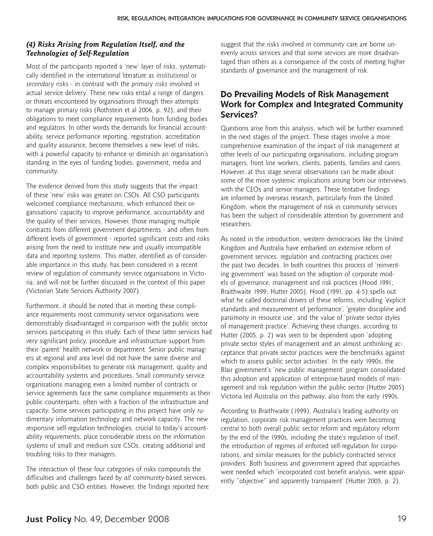#### *(4) Risks Arising from Regulation Itself, and the Technologies of Self-Regulation*

Most of the participants reported a 'new' layer of risks, systematically identified in the international literature as *institutional* or *secondary risks* - in contrast with the *primary risks* involved in actual service delivery. These new risks entail a range of dangers or threats encountered by organisations through their attempts to manage primary risks (Rothstein et al 2006, p. 92), and their obligations to meet compliance requirements from funding bodies and regulators. In other words the demands for financial accountability, service performance reporting, registration, accreditation and quality assurance, become themselves a new level of risks, with a powerful capacity to enhance or diminish an organisation's standing in the eyes of funding bodies, government, media and community.

The evidence derived from this study suggests that the impact of these 'new' risks was greater on CSOs. All CSO participants welcomed compliance mechanisms, which enhanced their organisations' capacity to improve performance, accountability and the quality of their services. However, those managing multiple contracts from different government departments - and often from different levels of government - reported significant costs and risks arising from the need to institute new and usually incompatible data and reporting systems. This matter, identified as of considerable importance in this study, has been considered in a recent review of regulation of community service organisations in Victoria, and will not be further discussed in the context of this paper (Victorian State Services Authority 2007).

Furthermore, it should be noted that in meeting these compliance requirements most community service organisations were demonstrably disadvantaged in comparison with the public sector services participating in this study. Each of these latter services had very significant policy, procedure and infrastructure support from their 'parent' health network or department. Senior public managers at regional and area level did not have the same diverse and complex responsibilities to generate risk management, quality and accountability systems and procedures. Small community service organisations managing even a limited number of contracts or service agreements face the same compliance requirements as their public counterparts, often with a fraction of the infrastructure and capacity. Some services participating in this project have only rudimentary information technology and network capacity. The new responsive self-regulation technologies, crucial to today's accountability requirements, place considerable stress on the information systems of small and medium size CSOs, creating additional and troubling risks to their managers.

The interaction of these four categories of risks compounds the difficulties and challenges faced by *all* community-based services, both public and CSO entities. However, the findings reported here suggest that the risks involved in community care are borne unevenly across services and that some services are more disadvantaged than others as a consequence of the costs of meeting higher standards of governance and the management of risk.

## **Do Prevailing Models of Risk Management Work for Complex and Integrated Community Services?**

Questions arise from this analysis, which will be further examined in the next stages of the project. These stages involve a more comprehensive examination of the impact of risk management at other levels of our participating organisations, including program managers, front line workers, clients, patients, families and carers. However, at this stage several observations can be made about some of the more systemic implications arising from our interviews with the CEOs and senior managers. These tentative findings are informed by overseas research, particularly from the United Kingdom, where the management of risk in community services has been the subject of considerable attention by government and researchers.

As noted in the introduction, western democracies like the United Kingdom and Australia have embarked on extensive reform of government services, regulation and contracting practices over the past two decades. In both countries this process of 'reinventing government' was based on the adoption of corporate models of governance, management and risk practices (Hood 1991; Braithwaite 1999; Hutter 2005). Hood (1991, pp. 4-5) spells out what he called doctrinal drivers of these reforms, including 'explicit standards and measurement of performance', 'greater discipline and parsimony in resource use', and the value of 'private sector styles of management practice'. Achieving these changes, according to Hutter (2005, p. 2) was seen to be dependent upon 'adopting private sector styles of management and an almost unthinking acceptance that private sector practices were the benchmarks against which to assess public sector activities'. In the early 1990s, the Blair government's 'new public management' program consolidated this adoption and application of enterprise-based models of management and risk regulation within the public sector (Hutter 2005). Victoria led Australia on this pathway, also from the early 1990s.

According to Braithwaite (1999), Australia's leading authority on regulation, corporate risk management practices were becoming central to both overall public sector reform and regulatory reform by the end of the 1990s, including the state's regulation of itself, the introduction of regimes of enforced self-regulation for corporations, and similar measures for the publicly contracted service providers. Both business and government agreed that approaches were needed which 'incorporated cost benefit analysis, were apparently "objective" and apparently transparent' (Hutter 2005, p. 2).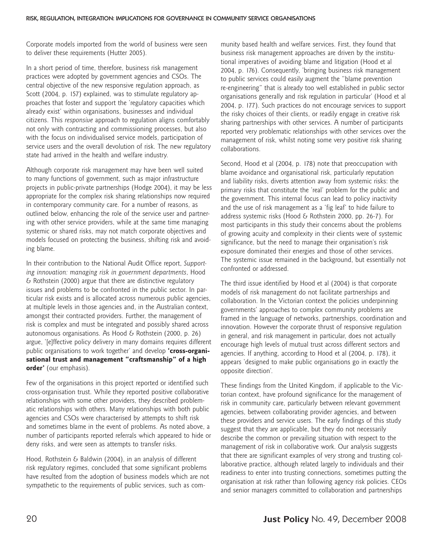Corporate models imported from the world of business were seen to deliver these requirements (Hutter 2005).

In a short period of time, therefore, business risk management practices were adopted by government agencies and CSOs. The central objective of the new responsive regulation approach, as Scott (2004, p. 157) explained, was to stimulate regulatory approaches that foster and support the 'regulatory capacities which already exist' within organisations, businesses and individual citizens. This *responsive* approach to regulation aligns comfortably not only with contracting and commissioning processes, but also with the focus on individualised service models, participation of service users and the overall devolution of risk. The new regulatory state had arrived in the health and welfare industry.

Although corporate risk management may have been well suited to many functions of government, such as major infrastructure projects in public-private partnerships (Hodge 2004), it may be less appropriate for the complex risk sharing relationships now required in contemporary community care. For a number of reasons, as outlined below, enhancing the role of the service user and partnering with other service providers, while at the same time managing systemic or shared risks, may not match corporate objectives and models focused on protecting the business, shifting risk and avoiding blame.

In their contribution to the National Audit Office report, *Supporting innovation: managing risk in government departments*, Hood & Rothstein (2000) argue that there are distinctive regulatory issues and problems to be confronted in the public sector. In particular risk exists and is allocated across numerous public agencies, at multiple levels in those agencies and, in the Australian context, amongst their contracted providers. Further, the management of risk is complex and must be integrated and possibly shared across autonomous organisations. As Hood & Rothstein (2000, p. 26) argue, '[e]ffective policy delivery in many domains requires different public organisations to work together' and develop **'cross-organisational trust and management "craftsmanship" of a high order'** (our emphasis).

Few of the organisations in this project reported or identified such cross-organisation trust. While they reported positive collaborative relationships with some other providers, they described problematic relationships with others. Many relationships with both public agencies and CSOs were characterised by attempts to shift risk and sometimes blame in the event of problems. As noted above, a number of participants reported referrals which appeared to hide or deny risks, and were seen as attempts to transfer risks.

Hood, Rothstein & Baldwin (2004), in an analysis of different risk regulatory regimes, concluded that some significant problems have resulted from the adoption of business models which are not sympathetic to the requirements of public services, such as community based health and welfare services. First, they found that business risk management approaches are driven by the institutional imperatives of avoiding blame and litigation (Hood et al 2004, p. 176). Consequently, 'bringing business risk management to public services could easily augment the "blame prevention re-engineering" that is already too well established in public sector organisations generally and risk regulation in particular' (Hood et al 2004, p. 177). Such practices do not encourage services to support the risky choices of their clients, or readily engage in creative risk sharing partnerships with other services. A number of participants reported very problematic relationships with other services over the management of risk, whilst noting some very positive risk sharing collaborations.

Second, Hood et al (2004, p. 178) note that preoccupation with blame avoidance and organisational risk, particularly reputation and liability risks, diverts attention away from systemic risks: the primary risks that constitute the 'real' problem for the public and the government. This internal focus can lead to policy inactivity and the use of risk management as a 'fig leaf' to hide failure to address systemic risks (Hood & Rothstein 2000, pp. 26-7). For most participants in this study their concerns about the problems of growing acuity and complexity in their clients were of systemic significance, but the need to manage their organisation's risk exposure dominated their energies and those of other services. The systemic issue remained in the background, but essentially not confronted or addressed.

The third issue identified by Hood et al (2004) is that corporate models of risk management do not facilitate partnerships and collaboration. In the Victorian context the policies underpinning governments' approaches to complex community problems are framed in the language of networks, partnerships, coordination and innovation. However the corporate thrust of responsive regulation in general, and risk management in particular, does not actually encourage high levels of mutual trust across different sectors and agencies. If anything, according to Hood et al (2004, p. 178), it appears 'designed to make public organisations go in exactly the opposite direction'.

These findings from the United Kingdom, if applicable to the Victorian context, have profound significance for the management of risk in community care, particularly between relevant government agencies, between collaborating provider agencies, and between these providers and service users. The early findings of this study suggest that they are applicable, but they do not necessarily describe the common or prevailing situation with respect to the management of risk in collaborative work. Our analysis suggests that there are significant examples of very strong and trusting collaborative practice, although related largely to individuals and their readiness to enter into trusting connections, sometimes putting the organisation at risk rather than following agency risk policies. CEOs and senior managers committed to collaboration and partnerships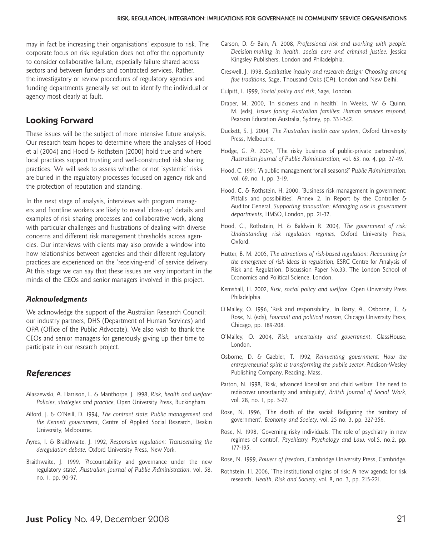may in fact be increasing their organisations' exposure to risk. The corporate focus on risk regulation does not offer the opportunity to consider collaborative failure, especially failure shared across sectors and between funders and contracted services. Rather, the investigatory or review procedures of regulatory agencies and funding departments generally set out to identify the individual or agency most clearly at fault.

### **Looking Forward**

These issues will be the subject of more intensive future analysis. Our research team hopes to determine where the analyses of Hood et al (2004) and Hood  $\&$  Rothstein (2000) hold true and where local practices support trusting and well-constructed risk sharing practices. We will seek to assess whether or not 'systemic' risks are buried in the regulatory processes focused on agency risk and the protection of reputation and standing.

In the next stage of analysis, interviews with program managers and frontline workers are likely to reveal 'close-up' details and examples of risk sharing processes and collaborative work, along with particular challenges and frustrations of dealing with diverse concerns and different risk management thresholds across agencies. Our interviews with clients may also provide a window into how relationships between agencies and their different regulatory practices are experienced on the 'receiving-end' of service delivery. At this stage we can say that these issues are very important in the minds of the CEOs and senior managers involved in this project.

#### *Acknowledgments*

We acknowledge the support of the Australian Research Council; our industry partners, DHS (Department of Human Services) and OPA (Office of the Public Advocate). We also wish to thank the CEOs and senior managers for generously giving up their time to participate in our research project.

#### **References**

- Alaszewski, A. Harrison, L. & Manthorpe, J. 1998, *Risk, health and welfare: Policies, strategies and practice*, Open University Press, Buckingham.
- Alford, J. & O'Neill, D. 1994, *The contract state: Public management and the Kennett government*, Centre of Applied Social Research, Deakin University, Melbourne.
- Ayres, I. & Braithwaite, J. 1992, *Responsive regulation: Transcending the deregulation debate,* Oxford University Press, New York.
- Braithwaite, J. 1999, 'Accountability and governance under the new regulatory state', *Australian Journal of Public Administration*, vol. 58, no. 1, pp. 90-97.
- Carson, D. & Bain, A. 2008, *Professional risk and working with people: Decision-making in health, social care and criminal justice*, Jessica Kingsley Publishers, London and Philadelphia.
- Creswell, J. 1998, *Qualitative inquiry and research design: Choosing among five traditions*, Sage, Thousand Oaks (CA), London and New Delhi.
- Culpitt, I. 1999, *Social policy and risk*, Sage, London.
- Draper, M. 2000, 'In sickness and in health', In Weeks, W. & Quinn, M. (eds), *Issues facing Australian families: Human services respond*, Pearson Education Australia, Sydney, pp. 331-342.
- Duckett, S. J. 2004, *The Australian health care system*, Oxford University Press, Melbourne.
- Hodge, G. A. 2004, 'The risky business of public-private partnerships', *Australian Journal of Public Administration*, vol. 63, no. 4, pp. 37-49.
- Hood, C. 1991, 'A public management for all seasons?' *Public Administration*, vol. 69, no. 1, pp. 3-19.
- Hood, C. & Rothstein, H. 2000, 'Business risk management in government: Pitfalls and possibilities', Annex 2, In Report by the Controller & Auditor General, *Supporting innovation: Managing risk in government departments*, HMSO, London, pp. 21-32.
- Hood, C., Rothstein, H. & Baldwin R. 2004, *The government of risk: Understanding risk regulation regimes,* Oxford University Press, Oxford.
- Hutter, B. M. 2005, *The attractions of risk-based regulation: Accounting for the emergence of risk ideas in regulation,* ESRC Centre for Analysis of Risk and Regulation, Discussion Paper No.33, The London School of Economics and Political Science, London.
- Kemshall, H. 2002, *Risk, social policy and welfare*, Open University Press Philadelphia.
- O'Malley, O. 1996, 'Risk and responsibility', In Barry, A., Osborne, T., & Rose, N. (eds), *Foucault and political reason*, Chicago University Press, Chicago, pp. 189-208.
- O'Malley, O. 2004, *Risk, uncertainty and government*, GlassHouse, London.
- Osborne, D. & Gaebler, T. 1992, *Reinventing government: How the entrepreneurial spirit is transforming the public sector*, Addison-Wesley Publishing Company, Reading, Mass.
- Parton, N. 1998, 'Risk, advanced liberalism and child welfare: The need to rediscover uncertainty and ambiguity', *British Journal of Social Work*, vol. 28, no. 1, pp. 5-27.
- Rose, N. 1996, 'The death of the social: Refiguring the territory of government', *Economy and Society*, vol. 25 no. 3, pp. 327-356.
- Rose, N. 1998, 'Governing risky individuals: The role of psychiatry in new regimes of control', *Psychiatry, Psychology and Law*, vol.5, no.2, pp. 177-195.
- Rose, N. 1999, *Powers of freedom*, Cambridge University Press, Cambridge.
- Rothstein, H. 2006, 'The institutional origins of risk: A new agenda for risk research', *Health, Risk and Society*, vol. 8, no. 3, pp. 215-221.